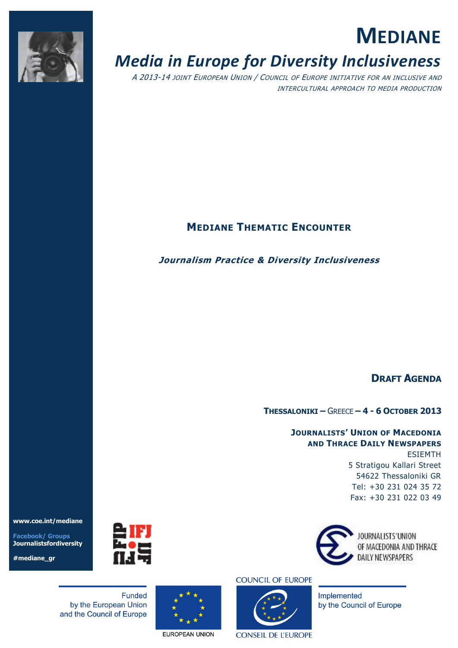

# **MEDIANE**

# *Media in Europe for Diversity Inclusiveness*

A 2013-14 JOINT EUROPEAN UNION / COUNCIL OF EUROPE INITIATIVE FOR AN INCLUSIVE AND INTERCULTURAL APPROACH TO MEDIA PRODUCTION

# **MEDIANE THEMATIC ENCOUNTER**

# **Journalism Practice & Diversity Inclusiveness**

# **DRAFT AGENDA**

**THESSALONIKI –** GREECE **– 4 - 6 OCTOBER 2013**

# **JOURNALISTS' UNION OF MACEDONIA AND THRACE DAILY NEWSPAPERS**  ESIEMTH 5 Stratigou Kallari Street 54622 Thessaloniki GR Tel: +30 231 024 35 72 Fax: +30 231 022 03 49



OF MACEDONIA AND THRACE



**Funded** by the European Union and the Council of Europe

**www.coe.int/mediane**

**Facebook/ Groups Journalistsfordiversity**

**#mediane\_gr**



EUROPEAN UNION

# **COUNCIL OF EUROPE**



**CONSEIL DE L'EUROPE** 



Implemented

by the Council of Europe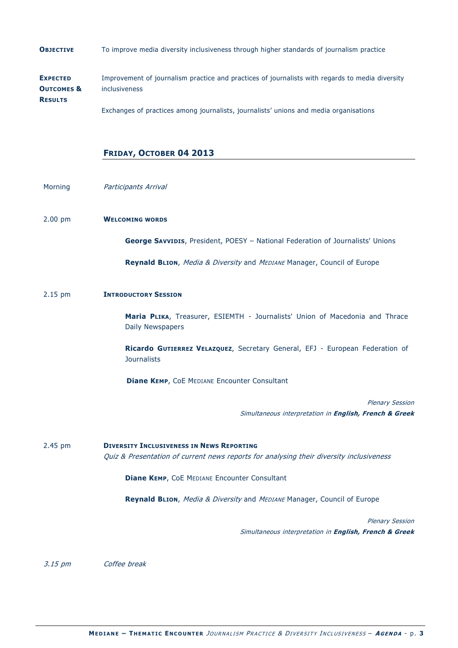**OBJECTIVE** To improve media diversity inclusiveness through higher standards of journalism practice

**EXPECTED OUTCOMES & RESULTS** Improvement of journalism practice and practices of journalists with regards to media diversity inclusiveness Exchanges of practices among journalists, journalists' unions and media organisations

**FRIDAY, OCTOBER 04 2013**

Morning **Participants Arrival** 

# 2.00 pm **WELCOMING WORDS**

**George SAVVIDIS**, President, POESY – National Federation of Journalists' Unions

**Reynald BLION, Media & Diversity and MEDIANE Manager, Council of Europe** 

# 2.15 pm **INTRODUCTORY SESSION**

**Maria PLIKA**, Treasurer, ESIEMTH - Journalists' Union of Macedonia and Thrace Daily Newspapers

**Ricardo GUTIERREZ VELAZQUEZ**, Secretary General, EFJ - European Federation of **Journalists** 

**Diane KEMP, COE MEDIANE Encounter Consultant** 

Plenary Session Simultaneous interpretation in **English, French & Greek**

2.45 pm **DIVERSITY INCLUSIVENESS IN NEWS REPORTING**  Quiz & Presentation of current news reports for analysing their diversity inclusiveness

**Diane KEMP**, CoE MEDIANE Encounter Consultant

**Reynald BLION, Media & Diversity and MEDIANE Manager, Council of Europe** 

Plenary Session Simultaneous interpretation in **English, French & Greek**

3.15 pm Coffee break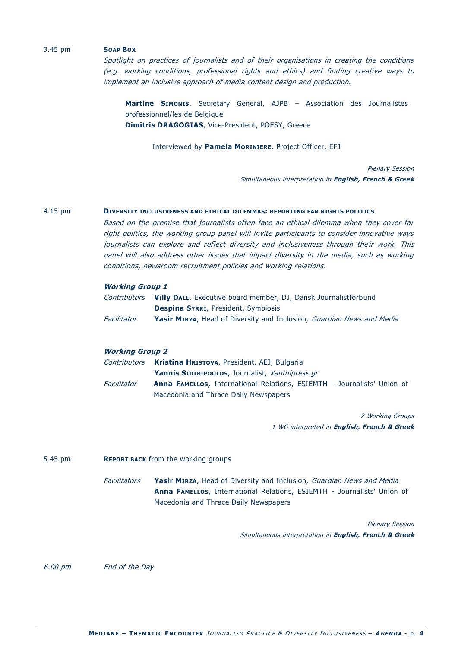# 3.45 pm **SOAP BOX**

Spotlight on practices of journalists and of their organisations in creating the conditions (e.g. working conditions, professional rights and ethics) and finding creative ways to implement an inclusive approach of media content design and production.

**Martine SIMONIS**, Secretary General, AJPB – Association des Journalistes professionnel/les de Belgique **Dimitris DRAGOGIAS**, Vice-President, POESY, Greece

Interviewed by **Pamela MORINIERE**, Project Officer, EFJ

Plenary Session Simultaneous interpretation in **English, French & Greek**

# 4.15 pm **DIVERSITY INCLUSIVENESS AND ETHICAL DILEMMAS: REPORTING FAR RIGHTS POLITICS**

Based on the premise that journalists often face an ethical dilemma when they cover far right politics, the working group panel will invite participants to consider innovative ways journalists can explore and reflect diversity and inclusiveness through their work. This panel will also address other issues that impact diversity in the media, such as working conditions, newsroom recruitment policies and working relations.

#### **Working Group 1**

| Contributors | <b>Villy DALL, Executive board member, DJ, Dansk Journalistforbund</b>               |  |  |  |
|--------------|--------------------------------------------------------------------------------------|--|--|--|
|              | <b>Despina SYRRI, President, Symbiosis</b>                                           |  |  |  |
| Facilitator  | <b>Yasir MIRZA</b> , Head of Diversity and Inclusion, <i>Guardian News and Media</i> |  |  |  |

# **Working Group 2**

|             | <i>Contributors</i> <b>Kristina HRISTOVA, President, AEJ, Bulgaria</b>         |  |  |  |
|-------------|--------------------------------------------------------------------------------|--|--|--|
|             | <b>Yannis SIDIRIPOULOS</b> , Journalist, Xanthipress.gr                        |  |  |  |
| Facilitator | <b>Anna FAMELLOS, International Relations, ESIEMTH - Journalists' Union of</b> |  |  |  |
|             | Macedonia and Thrace Daily Newspapers                                          |  |  |  |

2 Working Groups 1 WG interpreted in **English, French & Greek**

5.45 pm **REPORT BACK** from the working groups

Facilitators **Yasir MIRZA**, Head of Diversity and Inclusion, Guardian News and Media **Anna FAMELLOS**, International Relations, ESIEMTH - Journalists' Union of Macedonia and Thrace Daily Newspapers

> Plenary Session Simultaneous interpretation in **English, French & Greek**

6.00 pm End of the Day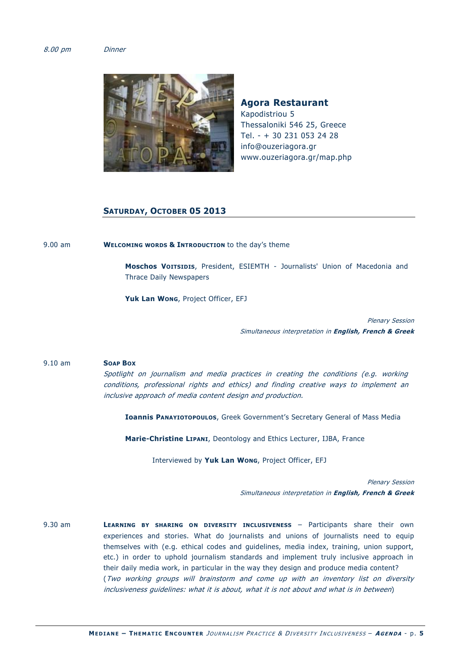# 8.00 pm Dinner



**Agora Restaurant** Kapodistriou 5 Thessaloniki 546 25, Greece Τel. - + 30 231 053 24 28 info@ouzeriagora.gr www.ouzeriagora.gr/map.php

# **SATURDAY, OCTOBER 05 2013**

9.00 am **WELCOMING WORDS & INTRODUCTION** to the day's theme

**Moschos VOITSIDIS**, President, ESIEMTH - Journalists' Union of Macedonia and Thrace Daily Newspapers

**Yuk Lan WONG**, Project Officer, EFJ

Plenary Session Simultaneous interpretation in **English, French & Greek**

# 9.10 am **SOAP BOX**

Spotlight on journalism and media practices in creating the conditions (e.g. working conditions, professional rights and ethics) and finding creative ways to implement an inclusive approach of media content design and production.

**Ioannis PANAYIOTOPOULOS**, Greek Government's Secretary General of Mass Media

**Marie-Christine LIPANI**, Deontology and Ethics Lecturer, IJBA, France

Interviewed by **Yuk Lan WONG**, Project Officer, EFJ

Plenary Session Simultaneous interpretation in **English, French & Greek**

9.30 am **LEARNING BY SHARING ON DIVERSITY INCLUSIVENESS** – Participants share their own experiences and stories. What do journalists and unions of journalists need to equip themselves with (e.g. ethical codes and guidelines, media index, training, union support, etc.) in order to uphold journalism standards and implement truly inclusive approach in their daily media work, in particular in the way they design and produce media content? (Two working groups will brainstorm and come up with an inventory list on diversity inclusiveness guidelines: what it is about, what it is not about and what is in between)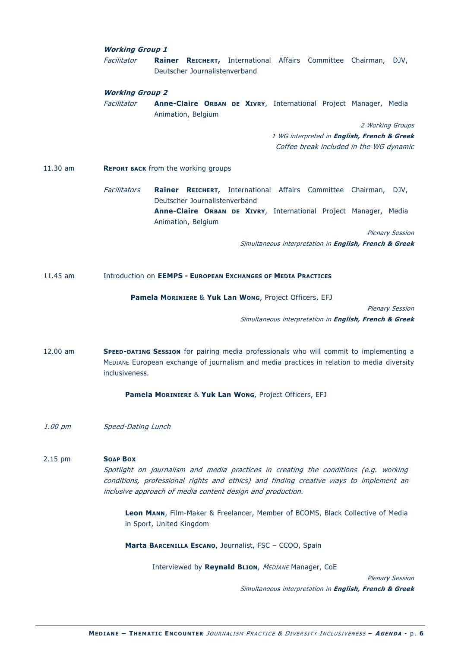# **Working Group 1**

Facilitator **Rainer REICHERT,** International Affairs Committee Chairman, DJV, Deutscher Journalistenverband

# **Working Group 2**

Facilitator **Anne-Claire ORBAN DE XIVRY**, International Project Manager, Media Animation, Belgium

2 Working Groups

1 WG interpreted in **English, French & Greek** Coffee break included in the WG dynamic

## 11.30 am **REPORT BACK** from the working groups

Facilitators **Rainer REICHERT,** International Affairs Committee Chairman, DJV, Deutscher Journalistenverband **Anne-Claire ORBAN DE XIVRY**, International Project Manager, Media Animation, Belgium

Plenary Session

Simultaneous interpretation in **English, French & Greek**

#### 11.45 am Introduction on **EEMPS - EUROPEAN EXCHANGES OF MEDIA PRACTICES**

**Pamela MORINIERE** & **Yuk Lan WONG**, Project Officers, EFJ

Plenary Session

Simultaneous interpretation in **English, French & Greek**

12.00 am **SPEED-DATING SESSION** for pairing media professionals who will commit to implementing a MEDIANE European exchange of journalism and media practices in relation to media diversity inclusiveness.

**Pamela MORINIERE** & **Yuk Lan WONG**, Project Officers, EFJ

1.00 pm Speed-Dating Lunch

# 2.15 pm **SOAP BOX** Spotlight on journalism and media practices in creating the conditions (e.g. working conditions, professional rights and ethics) and finding creative ways to implement an inclusive approach of media content design and production.

**Leon MANN**, Film-Maker & Freelancer, Member of BCOMS, Black Collective of Media in Sport, United Kingdom

**Marta BARCENILLA ESCANO**, Journalist, FSC – CCOO, Spain

Interviewed by **Reynald BLION**, MEDIANE Manager, CoE

Plenary Session

Simultaneous interpretation in **English, French & Greek**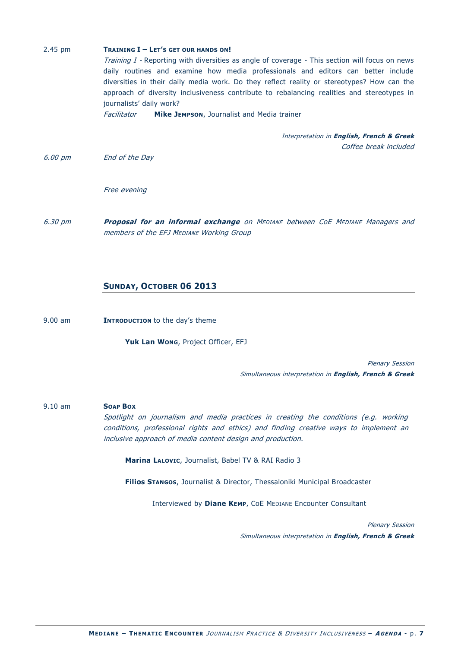| $2.45$ pm | <b>TRAINING I - LET'S GET OUR HANDS ON!</b><br><i>Training I</i> - Reporting with diversities as angle of coverage - This section will focus on news<br>daily routines and examine how media professionals and editors can better include<br>diversities in their daily media work. Do they reflect reality or stereotypes? How can the<br>approach of diversity inclusiveness contribute to rebalancing realities and stereotypes in |  |  |  |
|-----------|---------------------------------------------------------------------------------------------------------------------------------------------------------------------------------------------------------------------------------------------------------------------------------------------------------------------------------------------------------------------------------------------------------------------------------------|--|--|--|
|           |                                                                                                                                                                                                                                                                                                                                                                                                                                       |  |  |  |
|           | journalists' daily work?                                                                                                                                                                                                                                                                                                                                                                                                              |  |  |  |
|           | <b>Mike JEMPSON, Journalist and Media trainer</b><br>Facilitator                                                                                                                                                                                                                                                                                                                                                                      |  |  |  |
|           | Interpretation in English, French & Greek                                                                                                                                                                                                                                                                                                                                                                                             |  |  |  |
|           | Coffee break included                                                                                                                                                                                                                                                                                                                                                                                                                 |  |  |  |
| 6.00 pm   | End of the Day                                                                                                                                                                                                                                                                                                                                                                                                                        |  |  |  |

Free evening

6.30 pm **Proposal for an informal exchange** on MEDIANE between CoE MEDIANE Managers and members of the EFJ MEDIANE Working Group

# **SUNDAY, OCTOBER 06 2013**

9.00 am **INTRODUCTION** to the day's theme

**Yuk Lan WONG**, Project Officer, EFJ

Plenary Session Simultaneous interpretation in **English, French & Greek**

# 9.10 am **SOAP BOX**

Spotlight on journalism and media practices in creating the conditions (e.g. working conditions, professional rights and ethics) and finding creative ways to implement an inclusive approach of media content design and production.

**Marina LALOVIC**, Journalist, Babel TV & RAI Radio 3

**Filios STANGOS**, Journalist & Director, Thessaloniki Municipal Broadcaster

Interviewed by **Diane KEMP**, CoE MEDIANE Encounter Consultant

Plenary Session Simultaneous interpretation in **English, French & Greek**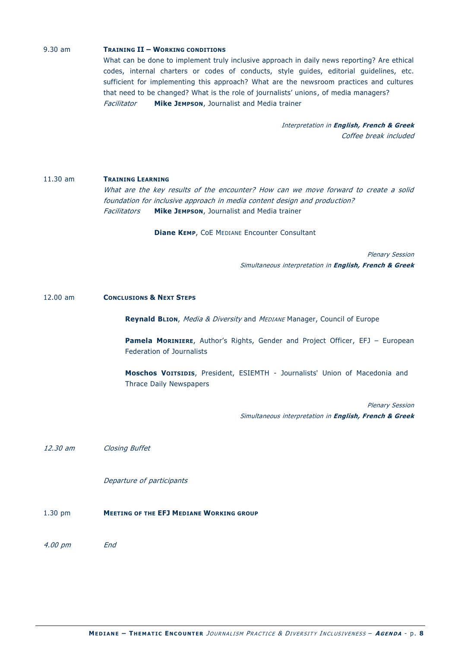# 9.30 am **TRAINING II – WORKING CONDITIONS**

What can be done to implement truly inclusive approach in daily news reporting? Are ethical codes, internal charters or codes of conducts, style guides, editorial guidelines, etc. sufficient for implementing this approach? What are the newsroom practices and cultures that need to be changed? What is the role of journalists' unions, of media managers? Facilitator **Mike JEMPSON**, Journalist and Media trainer

> Interpretation in **English, French & Greek** Coffee break included

# 11.30 am **TRAINING LEARNING**

What are the key results of the encounter? How can we move forward to create a solid foundation for inclusive approach in media content design and production? Facilitators **Mike JEMPSON**, Journalist and Media trainer

**Diane KEMP**, CoE MEDIANE Encounter Consultant

Plenary Session Simultaneous interpretation in **English, French & Greek**

12.00 am **CONCLUSIONS & NEXT STEPS**

**Reynald BLION, Media & Diversity and MEDIANE Manager, Council of Europe** 

**Pamela MORINIERE**, Author's Rights, Gender and Project Officer, EFJ – European Federation of Journalists

**Moschos VOITSIDIS**, President, ESIEMTH - Journalists' Union of Macedonia and Thrace Daily Newspapers

> Plenary Session Simultaneous interpretation in **English, French & Greek**

12.30 am Closing Buffet

Departure of participants

1.30 pm **MEETING OF THE EFJ MEDIANE WORKING GROUP** 

4.00 pm End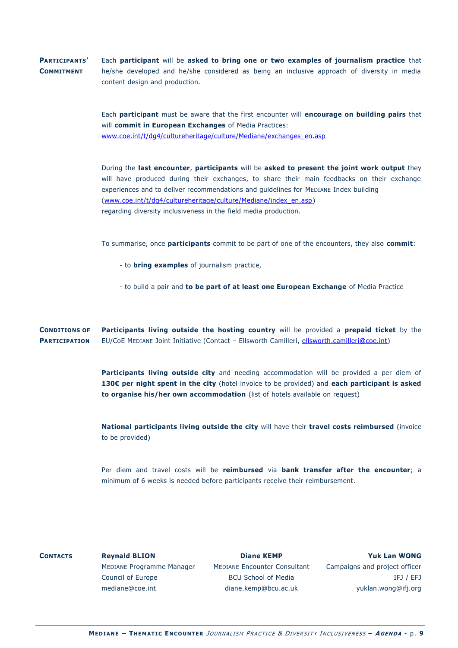#### **PARTICIPANTS' COMMITMENT**  Each **participant** will be **asked to bring one or two examples of journalism practice** that he/she developed and he/she considered as being an inclusive approach of diversity in media content design and production.

Each **participant** must be aware that the first encounter will **encourage on building pairs** that will **commit in European Exchanges** of Media Practices: [www.coe.int/t/dg4/cultureheritage/culture/Mediane/exchanges\\_en.asp](http://www.coe.int/t/dg4/cultureheritage/culture/Mediane/exchanges_en.asp)

During the **last encounter**, **participants** will be **asked to present the joint work output** they will have produced during their exchanges, to share their main feedbacks on their exchange experiences and to deliver recommendations and guidelines for MEDIANE Index building [\(www.coe.int/t/dg4/cultureheritage/culture/Mediane/index\\_en.asp\)](http://www.coe.int/t/dg4/cultureheritage/culture/Mediane/index_en.asp) regarding diversity inclusiveness in the field media production.

To summarise, once **participants** commit to be part of one of the encounters, they also **commit**:

- to **bring examples** of journalism practice,
- to build a pair and **to be part of at least one European Exchange** of Media Practice

**CONDITIONS OF PARTICIPATION Participants living outside the hosting country** will be provided a **prepaid ticket** by the EU/CoE MEDIANE Joint Initiative (Contact – Ellsworth Camilleri, [ellsworth.camilleri@coe.int\)](mailto:ellsworth.camilleri@coe.int)

> **Participants living outside city** and needing accommodation will be provided a per diem of **130€ per night spent in the city** (hotel invoice to be provided) and **each participant is asked to organise his/her own accommodation** (list of hotels available on request)

> **National participants living outside the city** will have their **travel costs reimbursed** (invoice to be provided)

> Per diem and travel costs will be **reimbursed** via **bank transfer after the encounter**; a minimum of 6 weeks is needed before participants receive their reimbursement.

| <b>CONTACTS</b> | <b>Reynald BLION</b>      | <b>Diane KEMP</b>                   | <b>Yuk Lan WONG</b>           |
|-----------------|---------------------------|-------------------------------------|-------------------------------|
|                 | MEDIANE Programme Manager | <b>MEDIANE Encounter Consultant</b> | Campaigns and project officer |
|                 | Council of Europe         | <b>BCU School of Media</b>          | IFJ / EFJ                     |
|                 | mediane@coe.int           | diane.kemp@bcu.ac.uk                | yuklan.wong@ifj.org           |
|                 |                           |                                     |                               |